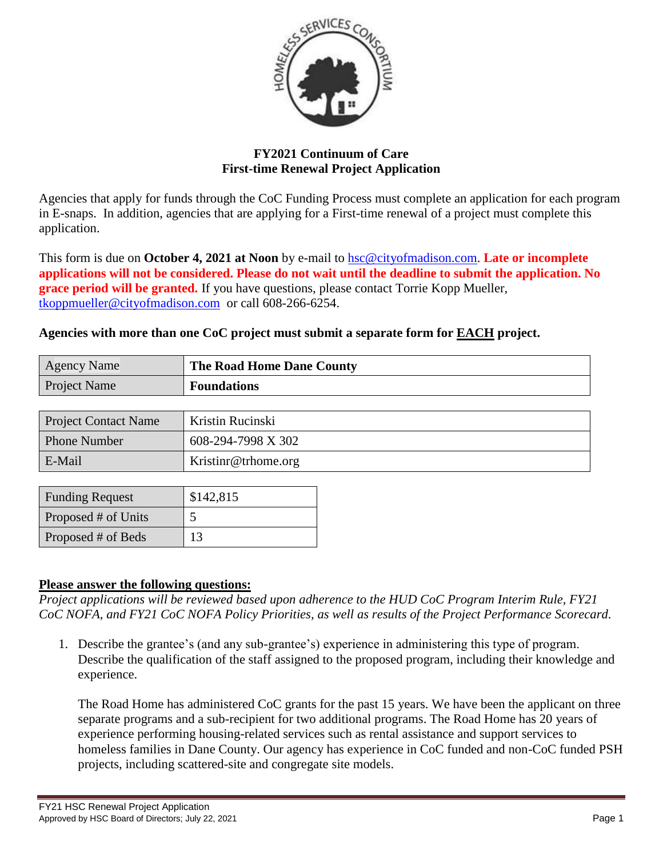

# **FY2021 Continuum of Care First-time Renewal Project Application**

Agencies that apply for funds through the CoC Funding Process must complete an application for each program in E-snaps. In addition, agencies that are applying for a First-time renewal of a project must complete this application.

This form is due on **October 4, 2021 at Noon** by e-mail to [hsc@cityofmadison.com.](mailto:hsc@cityofmadison.com) **Late or incomplete applications will not be considered. Please do not wait until the deadline to submit the application. No grace period will be granted.** If you have questions, please contact Torrie Kopp Mueller, [tkoppmueller@cityofmadison.com](mailto:tkoppmueller@cityofmadison.com) or call 608-266-6254.

## **Agencies with more than one CoC project must submit a separate form for EACH project.**

| <b>Agency Name</b>  | The Road Home Dane County |
|---------------------|---------------------------|
| <b>Project Name</b> | <b>Foundations</b>        |
|                     |                           |

| <b>Project Contact Name</b> | Kristin Rucinski    |
|-----------------------------|---------------------|
| <b>Phone Number</b>         | 608-294-7998 X 302  |
| E-Mail                      | Kristinr@trhome.org |

| <b>Funding Request</b> | \$142,815 |  |
|------------------------|-----------|--|
| Proposed # of Units    |           |  |
| Proposed # of Beds     | 13        |  |

## **Please answer the following questions:**

*Project applications will be reviewed based upon adherence to the HUD CoC Program Interim Rule, FY21 CoC NOFA, and FY21 CoC NOFA Policy Priorities, as well as results of the Project Performance Scorecard.*

1. Describe the grantee's (and any sub-grantee's) experience in administering this type of program. Describe the qualification of the staff assigned to the proposed program, including their knowledge and experience.

The Road Home has administered CoC grants for the past 15 years. We have been the applicant on three separate programs and a sub-recipient for two additional programs. The Road Home has 20 years of experience performing housing-related services such as rental assistance and support services to homeless families in Dane County. Our agency has experience in CoC funded and non-CoC funded PSH projects, including scattered-site and congregate site models.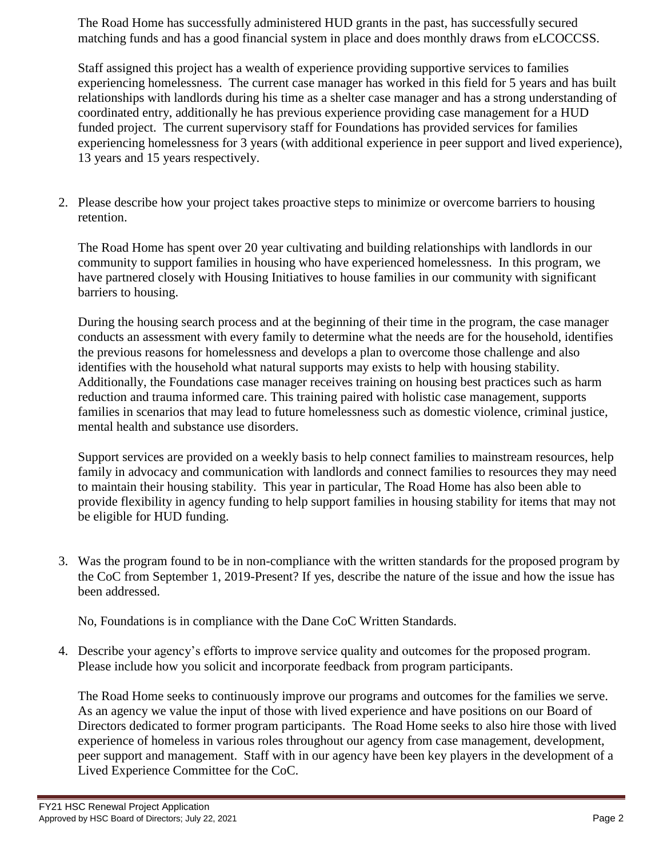The Road Home has successfully administered HUD grants in the past, has successfully secured matching funds and has a good financial system in place and does monthly draws from eLCOCCSS.

Staff assigned this project has a wealth of experience providing supportive services to families experiencing homelessness. The current case manager has worked in this field for 5 years and has built relationships with landlords during his time as a shelter case manager and has a strong understanding of coordinated entry, additionally he has previous experience providing case management for a HUD funded project. The current supervisory staff for Foundations has provided services for families experiencing homelessness for 3 years (with additional experience in peer support and lived experience), 13 years and 15 years respectively.

2. Please describe how your project takes proactive steps to minimize or overcome barriers to housing retention.

The Road Home has spent over 20 year cultivating and building relationships with landlords in our community to support families in housing who have experienced homelessness. In this program, we have partnered closely with Housing Initiatives to house families in our community with significant barriers to housing.

During the housing search process and at the beginning of their time in the program, the case manager conducts an assessment with every family to determine what the needs are for the household, identifies the previous reasons for homelessness and develops a plan to overcome those challenge and also identifies with the household what natural supports may exists to help with housing stability. Additionally, the Foundations case manager receives training on housing best practices such as harm reduction and trauma informed care. This training paired with holistic case management, supports families in scenarios that may lead to future homelessness such as domestic violence, criminal justice, mental health and substance use disorders.

Support services are provided on a weekly basis to help connect families to mainstream resources, help family in advocacy and communication with landlords and connect families to resources they may need to maintain their housing stability. This year in particular, The Road Home has also been able to provide flexibility in agency funding to help support families in housing stability for items that may not be eligible for HUD funding.

3. Was the program found to be in non-compliance with the written standards for the proposed program by the CoC from September 1, 2019-Present? If yes, describe the nature of the issue and how the issue has been addressed.

No, Foundations is in compliance with the Dane CoC Written Standards.

4. Describe your agency's efforts to improve service quality and outcomes for the proposed program. Please include how you solicit and incorporate feedback from program participants.

The Road Home seeks to continuously improve our programs and outcomes for the families we serve. As an agency we value the input of those with lived experience and have positions on our Board of Directors dedicated to former program participants. The Road Home seeks to also hire those with lived experience of homeless in various roles throughout our agency from case management, development, peer support and management. Staff with in our agency have been key players in the development of a Lived Experience Committee for the CoC.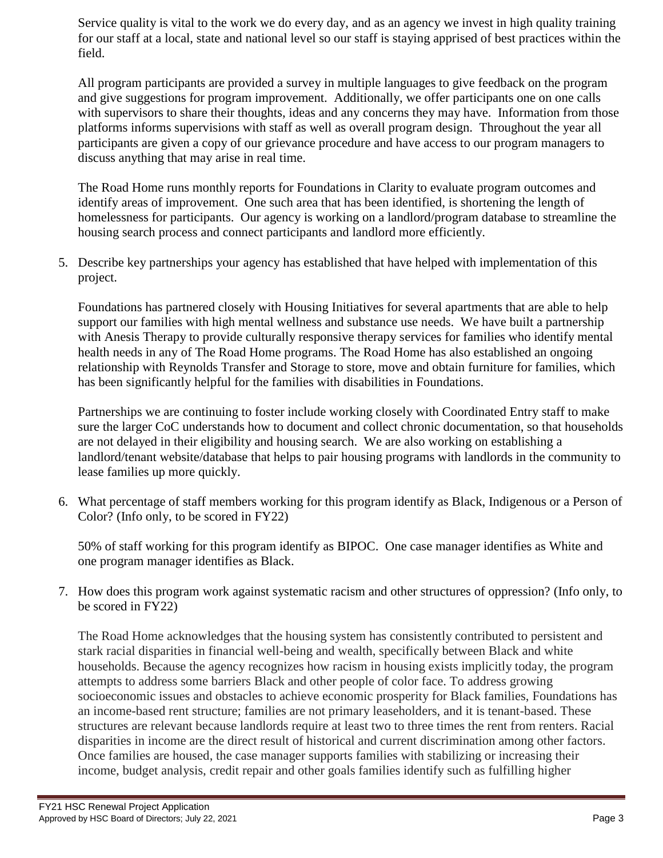Service quality is vital to the work we do every day, and as an agency we invest in high quality training for our staff at a local, state and national level so our staff is staying apprised of best practices within the field.

All program participants are provided a survey in multiple languages to give feedback on the program and give suggestions for program improvement. Additionally, we offer participants one on one calls with supervisors to share their thoughts, ideas and any concerns they may have. Information from those platforms informs supervisions with staff as well as overall program design. Throughout the year all participants are given a copy of our grievance procedure and have access to our program managers to discuss anything that may arise in real time.

The Road Home runs monthly reports for Foundations in Clarity to evaluate program outcomes and identify areas of improvement. One such area that has been identified, is shortening the length of homelessness for participants. Our agency is working on a landlord/program database to streamline the housing search process and connect participants and landlord more efficiently.

5. Describe key partnerships your agency has established that have helped with implementation of this project.

Foundations has partnered closely with Housing Initiatives for several apartments that are able to help support our families with high mental wellness and substance use needs. We have built a partnership with Anesis Therapy to provide culturally responsive therapy services for families who identify mental health needs in any of The Road Home programs. The Road Home has also established an ongoing relationship with Reynolds Transfer and Storage to store, move and obtain furniture for families, which has been significantly helpful for the families with disabilities in Foundations.

Partnerships we are continuing to foster include working closely with Coordinated Entry staff to make sure the larger CoC understands how to document and collect chronic documentation, so that households are not delayed in their eligibility and housing search. We are also working on establishing a landlord/tenant website/database that helps to pair housing programs with landlords in the community to lease families up more quickly.

6. What percentage of staff members working for this program identify as Black, Indigenous or a Person of Color? (Info only, to be scored in FY22)

50% of staff working for this program identify as BIPOC. One case manager identifies as White and one program manager identifies as Black.

7. How does this program work against systematic racism and other structures of oppression? (Info only, to be scored in FY22)

The Road Home acknowledges that the housing system has consistently contributed to persistent and stark racial disparities in financial well-being and wealth, specifically between Black and white households. Because the agency recognizes how racism in housing exists implicitly today, the program attempts to address some barriers Black and other people of color face. To address growing socioeconomic issues and obstacles to achieve economic prosperity for Black families, Foundations has an income-based rent structure; families are not primary leaseholders, and it is tenant-based. These structures are relevant because landlords require at least two to three times the rent from renters. Racial disparities in income are the direct result of historical and current discrimination among other factors. Once families are housed, the case manager supports families with stabilizing or increasing their income, budget analysis, credit repair and other goals families identify such as fulfilling higher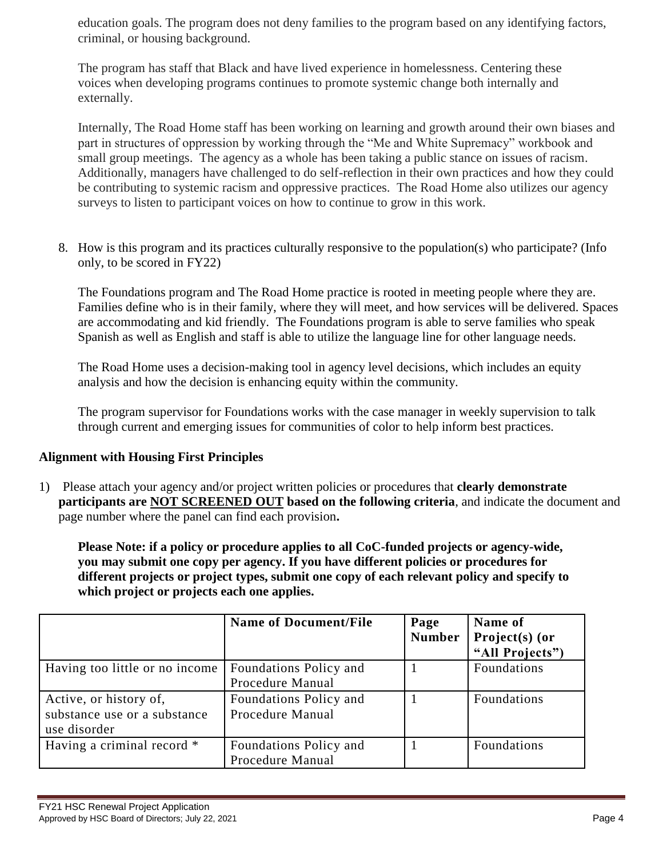education goals. The program does not deny families to the program based on any identifying factors, criminal, or housing background.

The program has staff that Black and have lived experience in homelessness. Centering these voices when developing programs continues to promote systemic change both internally and externally.

Internally, The Road Home staff has been working on learning and growth around their own biases and part in structures of oppression by working through the "Me and White Supremacy" workbook and small group meetings. The agency as a whole has been taking a public stance on issues of racism. Additionally, managers have challenged to do self-reflection in their own practices and how they could be contributing to systemic racism and oppressive practices. The Road Home also utilizes our agency surveys to listen to participant voices on how to continue to grow in this work.

8. How is this program and its practices culturally responsive to the population(s) who participate? (Info only, to be scored in FY22)

The Foundations program and The Road Home practice is rooted in meeting people where they are. Families define who is in their family, where they will meet, and how services will be delivered. Spaces are accommodating and kid friendly. The Foundations program is able to serve families who speak Spanish as well as English and staff is able to utilize the language line for other language needs.

The Road Home uses a decision-making tool in agency level decisions, which includes an equity analysis and how the decision is enhancing equity within the community.

The program supervisor for Foundations works with the case manager in weekly supervision to talk through current and emerging issues for communities of color to help inform best practices.

## **Alignment with Housing First Principles**

1) Please attach your agency and/or project written policies or procedures that **clearly demonstrate participants are NOT SCREENED OUT based on the following criteria**, and indicate the document and page number where the panel can find each provision**.** 

**Please Note: if a policy or procedure applies to all CoC-funded projects or agency-wide, you may submit one copy per agency. If you have different policies or procedures for different projects or project types, submit one copy of each relevant policy and specify to which project or projects each one applies.**

|                                                                        | <b>Name of Document/File</b>               | Page<br><b>Number</b> | Name of<br>Project(s) (or<br>"All Projects") |
|------------------------------------------------------------------------|--------------------------------------------|-----------------------|----------------------------------------------|
| Having too little or no income                                         | Foundations Policy and<br>Procedure Manual |                       | Foundations                                  |
| Active, or history of,<br>substance use or a substance<br>use disorder | Foundations Policy and<br>Procedure Manual |                       | Foundations                                  |
| Having a criminal record *                                             | Foundations Policy and<br>Procedure Manual |                       | <b>Foundations</b>                           |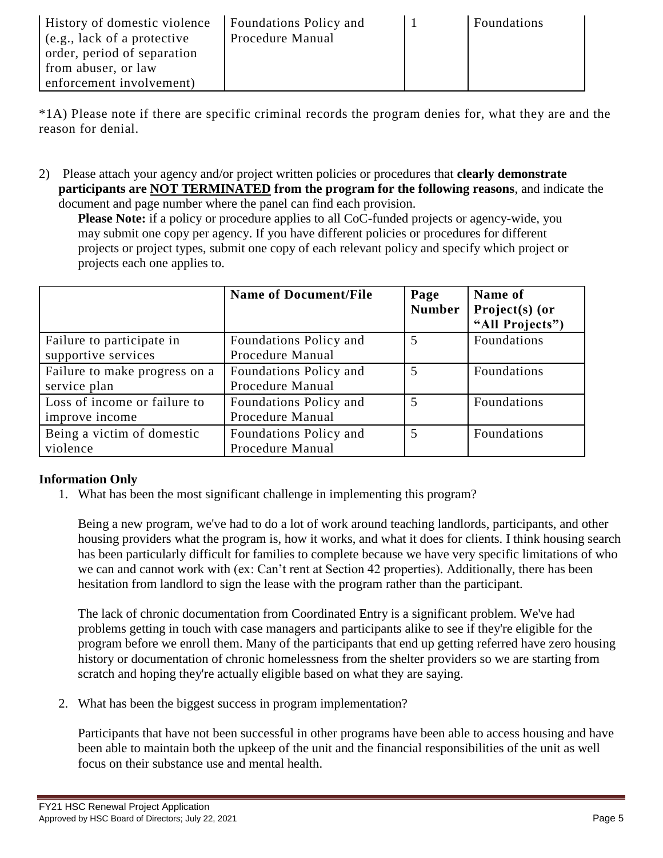| <b>History of domestic violence</b> | Foundations Policy and | Foundations |
|-------------------------------------|------------------------|-------------|
| $\left($ e.g., lack of a protective | Procedure Manual       |             |
| order, period of separation         |                        |             |
| from abuser, or law                 |                        |             |
| enforcement involvement)            |                        |             |

\*1A) Please note if there are specific criminal records the program denies for, what they are and the reason for denial.

2) Please attach your agency and/or project written policies or procedures that **clearly demonstrate participants are NOT TERMINATED from the program for the following reasons**, and indicate the document and page number where the panel can find each provision.

**Please Note:** if a policy or procedure applies to all CoC-funded projects or agency-wide, you may submit one copy per agency. If you have different policies or procedures for different projects or project types, submit one copy of each relevant policy and specify which project or projects each one applies to.

|                                                  | <b>Name of Document/File</b>               | Page<br><b>Number</b> | Name of<br>Project(s) (or<br>"All Projects") |
|--------------------------------------------------|--------------------------------------------|-----------------------|----------------------------------------------|
| Failure to participate in<br>supportive services | Foundations Policy and<br>Procedure Manual | 5                     | Foundations                                  |
| Failure to make progress on a<br>service plan    | Foundations Policy and<br>Procedure Manual | 5                     | Foundations                                  |
| Loss of income or failure to<br>improve income   | Foundations Policy and<br>Procedure Manual | 5                     | Foundations                                  |
| Being a victim of domestic<br>violence           | Foundations Policy and<br>Procedure Manual | 5                     | Foundations                                  |

## **Information Only**

1. What has been the most significant challenge in implementing this program?

Being a new program, we've had to do a lot of work around teaching landlords, participants, and other housing providers what the program is, how it works, and what it does for clients. I think housing search has been particularly difficult for families to complete because we have very specific limitations of who we can and cannot work with (ex: Can't rent at Section 42 properties). Additionally, there has been hesitation from landlord to sign the lease with the program rather than the participant.

The lack of chronic documentation from Coordinated Entry is a significant problem. We've had problems getting in touch with case managers and participants alike to see if they're eligible for the program before we enroll them. Many of the participants that end up getting referred have zero housing history or documentation of chronic homelessness from the shelter providers so we are starting from scratch and hoping they're actually eligible based on what they are saying.

2. What has been the biggest success in program implementation?

Participants that have not been successful in other programs have been able to access housing and have been able to maintain both the upkeep of the unit and the financial responsibilities of the unit as well focus on their substance use and mental health.